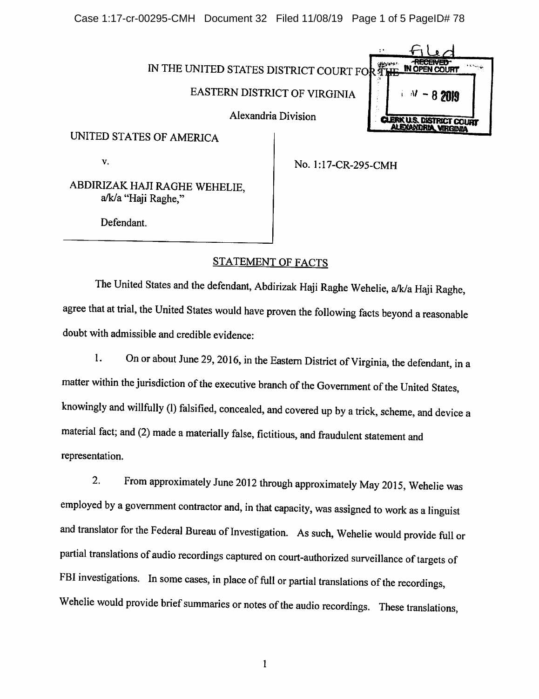Case 1:17-cr-00295-CMH Document 32 Filed 11/08/19 Page 1 of 5 PageID# 78



UNITED STATES OF AMERICA

v. No. 1:17-CR-295-CMH

ABDIRIZAK HAJI RAGHE WEHELIE, a/k/a "Haji Raghe,"

Defendant.

## STATEMENT OF FACTS

The United States and the defendant, Abdirizak Haji Raghe Wehelie, a/k/a Haji Raghe, agree that at trial, the United States would have proven the following facts beyond a reasonable doubt with admissible and credible evidence:

1. On or about June 29, 2016, in the Eastern District of Virginia, the defendant, in a matter within the jurisdiction of the executive branch of the Government of the United States, knowingly and willfully (1) falsified, concealed, and covered up by a trick, scheme, and device a material fact; and (2) made a materially false, fictitious, and fraudulent statement and representation.

2. From approximately June 2012 through approximately May 2015, Wehelie was employed by a government contractor and, in that capacity, was assigned to work as a linguist and translator for the Federal Bureau of Investigation. As such, Wehelie would provide full or partial translations of audio recordings captured on court-authorized surveillance of targets of FBI investigations. In some cases, in place of full or partial translations of the recordings, Wehelie would provide brief summaries or notes of the audio recordings. These translations,

 $\mathbf{1}$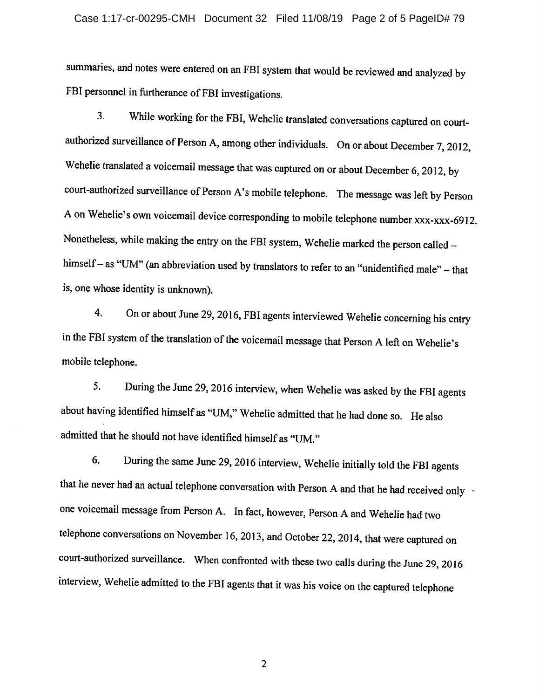## Case 1:17-cr-00295-CMH Document 32 Filed 11/08/19 Page 2 of 5 PageID# 79

summaries, and notes were entered on an FBI system that would be reviewed and analyzed by FBI personnel in furtherance of FBI investigations.

While working for the FBI, Wehelie translated conversations captured on court- $3.$ authorized surveillance of Person A, among other individuals. On or about December 7, 2012, Wehelie translated a voicemail message that was captured on or about December 6, 2012, by court-authorized surveillance of Person A's mobile telephone. The message was left by Person A on Wehelie's own voicemail device corresponding to mobile telephone number xxx-xxx-6912. Nonetheless, while making the entry on the FBI system, Wehelie marked the person called himself - as "UM" (an abbreviation used by translators to refer to an "unidentified male" - that is, one whose identity is unknown).

 $4.$ On or about June 29, 2016, FBI agents interviewed Wehelie concerning his entry in the FBI system of the translation of the voicemail message that Person A left on Wehelie's mobile telephone.

 $5<sub>1</sub>$ During the June 29, 2016 interview, when Wehelie was asked by the FBI agents about having identified himself as "UM," Wehelie admitted that he had done so. He also admitted that he should not have identified himself as "UM."

During the same June 29, 2016 interview, Wehelie initially told the FBI agents 6. that he never had an actual telephone conversation with Person A and that he had received only . one voicemail message from Person A. In fact, however, Person A and Wehelie had two telephone conversations on November 16, 2013, and October 22, 2014, that were captured on court-authorized surveillance. When confronted with these two calls during the June 29, 2016 interview, Wehelie admitted to the FBI agents that it was his voice on the captured telephone

 $\overline{2}$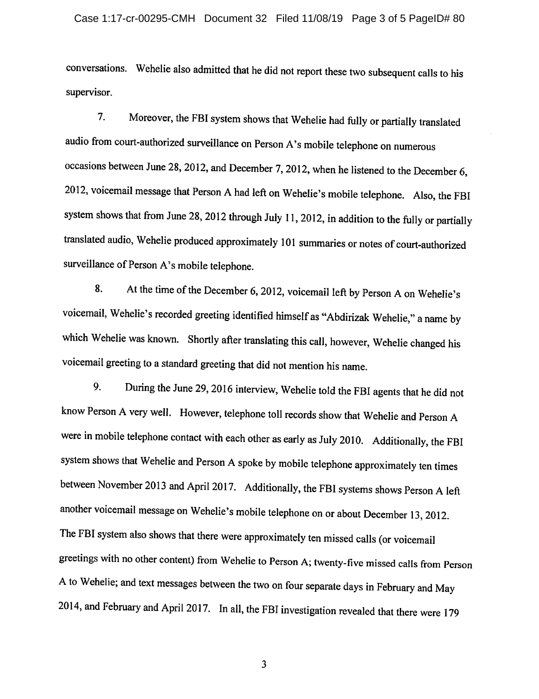conversations. Wehelie also admitted that he did not report these two subsequent calls to his supervisor.

Moreover, the FBI system shows that Wehelie had fully or partially translated  $7<sub>1</sub>$ audio from court-authorized surveillance on Person A's mobile telephone on numerous occasions between June 28, 2012, and December 7, 2012, when he listened to the December 6, 2012, voicemail message that Person A had left on Wehelie's mobile telephone. Also, the FBI system shows that from June 28, 2012 through July 11, 2012, in addition to the fully or partially translated audio, Wehelie produced approximately 101 summaries or notes of court-authorized surveillance of Person A's mobile telephone.

At the time of the December 6, 2012, voicemail left by Person A on Wehelie's 8. voicemail, Wehelie's recorded greeting identified himself as "Abdirizak Wehelie," a name by which Wehelie was known. Shortly after translating this call, however, Wehelie changed his voicemail greeting to a standard greeting that did not mention his name.

During the June 29, 2016 interview, Wehelie told the FBI agents that he did not 9. know Person A very well. However, telephone toll records show that Wehelie and Person A were in mobile telephone contact with each other as early as July 2010. Additionally, the FBI system shows that Wehelie and Person A spoke by mobile telephone approximately ten times between November 2013 and April 2017. Additionally, the FBI systems shows Person A left another voicemail message on Wehelie's mobile telephone on or about December 13, 2012. The FBI system also shows that there were approximately ten missed calls (or voicemail greetings with no other content) from Wehelie to Person A; twenty-five missed calls from Person A to Wehelie; and text messages between the two on four separate days in February and May 2014, and February and April 2017. In all, the FBI investigation revealed that there were 179

 $\overline{\mathbf{3}}$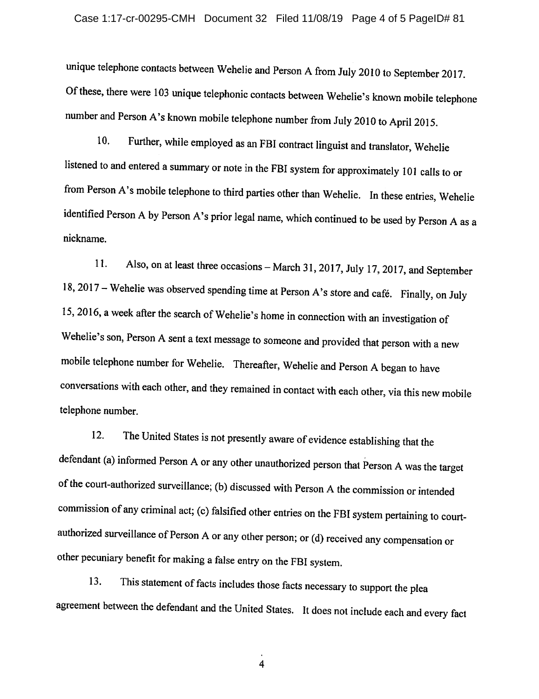## Case 1:17-cr-00295-CMH Document 32 Filed 11/08/19 Page 4 of 5 PageID# 81

unique telephone contacts between Wehelie and Person A from July 2010 to September 2017. Of these, there were 103 unique telephonic contacts between Wehelie's known mobile telephone number and Person A's known mobile telephone number from July 2010 to April 2015.

10. Further, while employed as an FBI contract linguist and translator, Wehelie listened to and entered a summary or note in the FBI system for approximately 101 calls to or from Person A's mobile telephone to third parties other than Wehelie. In these entries, Wehelie identified Person A by Person A's prior legal name, which continued to be used by Person A as a nickname.

Also, on at least three occasions - March 31, 2017, July 17, 2017, and September  $11.$ 18, 2017 – Wehelie was observed spending time at Person A's store and café. Finally, on July 15, 2016, a week after the search of Wehelie's home in connection with an investigation of Wehelie's son, Person A sent a text message to someone and provided that person with a new mobile telephone number for Wehelie. Thereafter, Wehelie and Person A began to have conversations with each other, and they remained in contact with each other, via this new mobile telephone number.

12. The United States is not presently aware of evidence establishing that the defendant (a) informed Person A or any other unauthorized person that Person A was the target of the court-authorized surveillance; (b) discussed with Person A the commission or intended commission of any criminal act; (c) falsified other entries on the FBI system pertaining to courtauthorized surveillance of Person A or any other person; or (d) received any compensation or other pecuniary benefit for making a false entry on the FBI system.

This statement of facts includes those facts necessary to support the plea  $13.$ agreement between the defendant and the United States. It does not include each and every fact

 $\overline{4}$